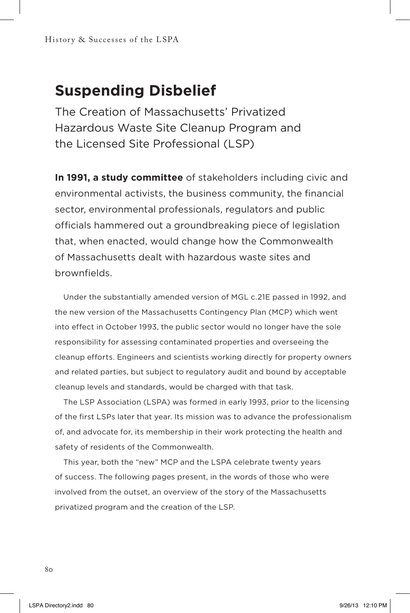## **Suspending Disbelief**

The Creation of Massachusetts' Privatized Hazardous Waste Site Cleanup Program and the Licensed Site Professional (LSP)

**In 1991, a study committee** of stakeholders including civic and environmental activists, the business community, the financial sector, environmental professionals, regulators and public officials hammered out a groundbreaking piece of legislation that, when enacted, would change how the Commonwealth of Massachusetts dealt with hazardous waste sites and brownfields.

Under the substantially amended version of MGL c.21E passed in 1992, and the new version of the Massachusetts Contingency Plan (MCP) which went into effect in October 1993, the public sector would no longer have the sole responsibility for assessing contaminated properties and overseeing the cleanup efforts. Engineers and scientists working directly for property owners and related parties, but subject to regulatory audit and bound by acceptable cleanup levels and standards, would be charged with that task.

The LSP Association (LSPA) was formed in early 1993, prior to the licensing of the first LSPs later that year. Its mission was to advance the professionalism of, and advocate for, its membership in their work protecting the health and safety of residents of the Commonwealth.

This year, both the "new" MCP and the LSPA celebrate twenty years of success. The following pages present, in the words of those who were involved from the outset, an overview of the story of the Massachusetts privatized program and the creation of the LSP.